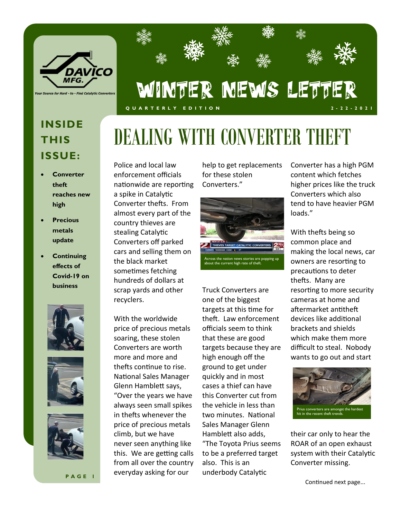

## **NAME** 灤 WINTER NEWS LETTER **Q U A R T E R L Y E D I T I O N 2 - 2 2 - 2 0 2 1**

**数** 

## **INSIDE THIS ISSUE:**

- **Converter theft reaches new high**
- **Precious metals update**
- **Continuing effects of Covid-19 on business**







**P A G E 1**

Police and local law enforcement officials nationwide are reporting a spike in Catalytic Converter thefts. From almost every part of the country thieves are stealing Catalytic Converters off parked cars and selling them on the black market sometimes fetching hundreds of dollars at scrap yards and other recyclers.

With the worldwide price of precious metals soaring, these stolen Converters are worth more and more and thefts continue to rise. National Sales Manager Glenn Hamblett says, "Over the years we have always seen small spikes in thefts whenever the price of precious metals climb, but we have never seen anything like this. We are getting calls from all over the country everyday asking for our

help to get replacements for these stolen Converters."

DEALING WITH CONVERTER THEFT



Truck Converters are one of the biggest targets at this time for theft. Law enforcement officials seem to think that these are good targets because they are high enough off the ground to get under quickly and in most cases a thief can have this Converter cut from the vehicle in less than two minutes. National Sales Manager Glenn Hamblett also adds, "The Toyota Prius seems to be a preferred target also. This is an underbody Catalytic

Converter has a high PGM content which fetches higher prices like the truck Converters which also tend to have heavier PGM loads."

With thefts being so common place and making the local news, car owners are resorting to precautions to deter thefts. Many are resorting to more security cameras at home and aftermarket antitheft devices like additional brackets and shields which make them more difficult to steal. Nobody wants to go out and start



their car only to hear the ROAR of an open exhaust system with their Catalytic Converter missing.

Continued next page...